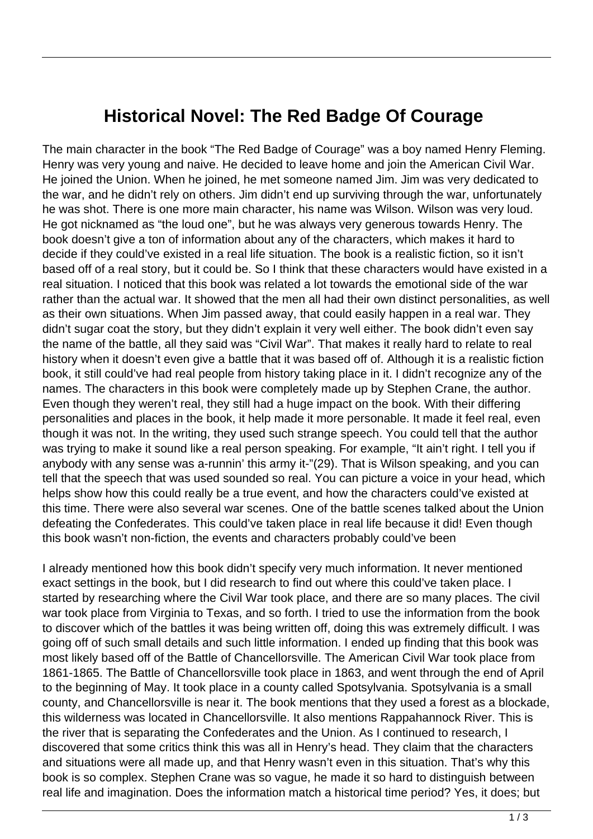## **Historical Novel: The Red Badge Of Courage**

The main character in the book "The Red Badge of Courage" was a boy named Henry Fleming. Henry was very young and naive. He decided to leave home and join the American Civil War. He joined the Union. When he joined, he met someone named Jim. Jim was very dedicated to the war, and he didn't rely on others. Jim didn't end up surviving through the war, unfortunately he was shot. There is one more main character, his name was Wilson. Wilson was very loud. He got nicknamed as "the loud one", but he was always very generous towards Henry. The book doesn't give a ton of information about any of the characters, which makes it hard to decide if they could've existed in a real life situation. The book is a realistic fiction, so it isn't based off of a real story, but it could be. So I think that these characters would have existed in a real situation. I noticed that this book was related a lot towards the emotional side of the war rather than the actual war. It showed that the men all had their own distinct personalities, as well as their own situations. When Jim passed away, that could easily happen in a real war. They didn't sugar coat the story, but they didn't explain it very well either. The book didn't even say the name of the battle, all they said was "Civil War". That makes it really hard to relate to real history when it doesn't even give a battle that it was based off of. Although it is a realistic fiction book, it still could've had real people from history taking place in it. I didn't recognize any of the names. The characters in this book were completely made up by Stephen Crane, the author. Even though they weren't real, they still had a huge impact on the book. With their differing personalities and places in the book, it help made it more personable. It made it feel real, even though it was not. In the writing, they used such strange speech. You could tell that the author was trying to make it sound like a real person speaking. For example, "It ain't right. I tell you if anybody with any sense was a-runnin' this army it-"(29). That is Wilson speaking, and you can tell that the speech that was used sounded so real. You can picture a voice in your head, which helps show how this could really be a true event, and how the characters could've existed at this time. There were also several war scenes. One of the battle scenes talked about the Union defeating the Confederates. This could've taken place in real life because it did! Even though this book wasn't non-fiction, the events and characters probably could've been

I already mentioned how this book didn't specify very much information. It never mentioned exact settings in the book, but I did research to find out where this could've taken place. I started by researching where the Civil War took place, and there are so many places. The civil war took place from Virginia to Texas, and so forth. I tried to use the information from the book to discover which of the battles it was being written off, doing this was extremely difficult. I was going off of such small details and such little information. I ended up finding that this book was most likely based off of the Battle of Chancellorsville. The American Civil War took place from 1861-1865. The Battle of Chancellorsville took place in 1863, and went through the end of April to the beginning of May. It took place in a county called Spotsylvania. Spotsylvania is a small county, and Chancellorsville is near it. The book mentions that they used a forest as a blockade, this wilderness was located in Chancellorsville. It also mentions Rappahannock River. This is the river that is separating the Confederates and the Union. As I continued to research, I discovered that some critics think this was all in Henry's head. They claim that the characters and situations were all made up, and that Henry wasn't even in this situation. That's why this book is so complex. Stephen Crane was so vague, he made it so hard to distinguish between real life and imagination. Does the information match a historical time period? Yes, it does; but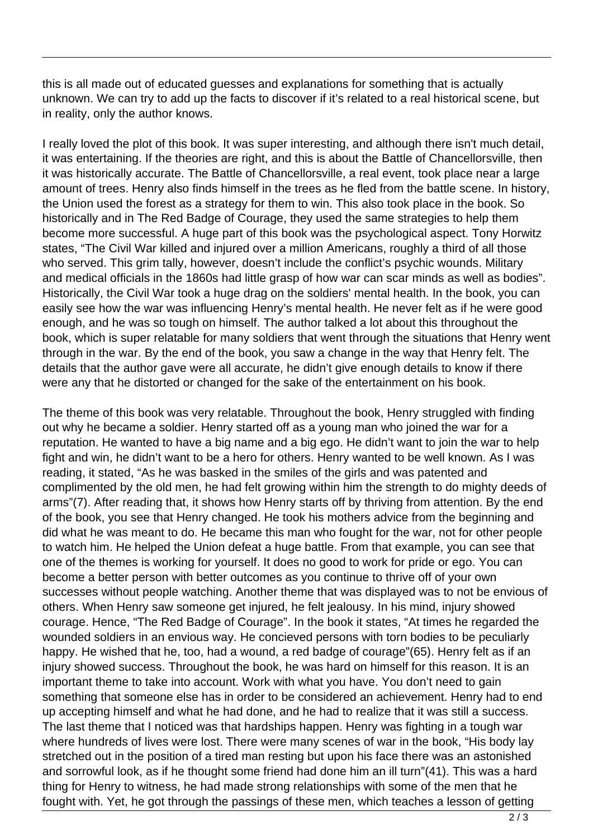this is all made out of educated guesses and explanations for something that is actually unknown. We can try to add up the facts to discover if it's related to a real historical scene, but in reality, only the author knows.

I really loved the plot of this book. It was super interesting, and although there isn't much detail, it was entertaining. If the theories are right, and this is about the Battle of Chancellorsville, then it was historically accurate. The Battle of Chancellorsville, a real event, took place near a large amount of trees. Henry also finds himself in the trees as he fled from the battle scene. In history, the Union used the forest as a strategy for them to win. This also took place in the book. So historically and in The Red Badge of Courage, they used the same strategies to help them become more successful. A huge part of this book was the psychological aspect. Tony Horwitz states, "The Civil War killed and injured over a million Americans, roughly a third of all those who served. This grim tally, however, doesn't include the conflict's psychic wounds. Military and medical officials in the 1860s had little grasp of how war can scar minds as well as bodies". Historically, the Civil War took a huge drag on the soldiers' mental health. In the book, you can easily see how the war was influencing Henry's mental health. He never felt as if he were good enough, and he was so tough on himself. The author talked a lot about this throughout the book, which is super relatable for many soldiers that went through the situations that Henry went through in the war. By the end of the book, you saw a change in the way that Henry felt. The details that the author gave were all accurate, he didn't give enough details to know if there were any that he distorted or changed for the sake of the entertainment on his book.

The theme of this book was very relatable. Throughout the book, Henry struggled with finding out why he became a soldier. Henry started off as a young man who joined the war for a reputation. He wanted to have a big name and a big ego. He didn't want to join the war to help fight and win, he didn't want to be a hero for others. Henry wanted to be well known. As I was reading, it stated, "As he was basked in the smiles of the girls and was patented and complimented by the old men, he had felt growing within him the strength to do mighty deeds of arms"(7). After reading that, it shows how Henry starts off by thriving from attention. By the end of the book, you see that Henry changed. He took his mothers advice from the beginning and did what he was meant to do. He became this man who fought for the war, not for other people to watch him. He helped the Union defeat a huge battle. From that example, you can see that one of the themes is working for yourself. It does no good to work for pride or ego. You can become a better person with better outcomes as you continue to thrive off of your own successes without people watching. Another theme that was displayed was to not be envious of others. When Henry saw someone get injured, he felt jealousy. In his mind, injury showed courage. Hence, "The Red Badge of Courage". In the book it states, "At times he regarded the wounded soldiers in an envious way. He concieved persons with torn bodies to be peculiarly happy. He wished that he, too, had a wound, a red badge of courage"(65). Henry felt as if an injury showed success. Throughout the book, he was hard on himself for this reason. It is an important theme to take into account. Work with what you have. You don't need to gain something that someone else has in order to be considered an achievement. Henry had to end up accepting himself and what he had done, and he had to realize that it was still a success. The last theme that I noticed was that hardships happen. Henry was fighting in a tough war where hundreds of lives were lost. There were many scenes of war in the book, "His body lay stretched out in the position of a tired man resting but upon his face there was an astonished and sorrowful look, as if he thought some friend had done him an ill turn"(41). This was a hard thing for Henry to witness, he had made strong relationships with some of the men that he fought with. Yet, he got through the passings of these men, which teaches a lesson of getting